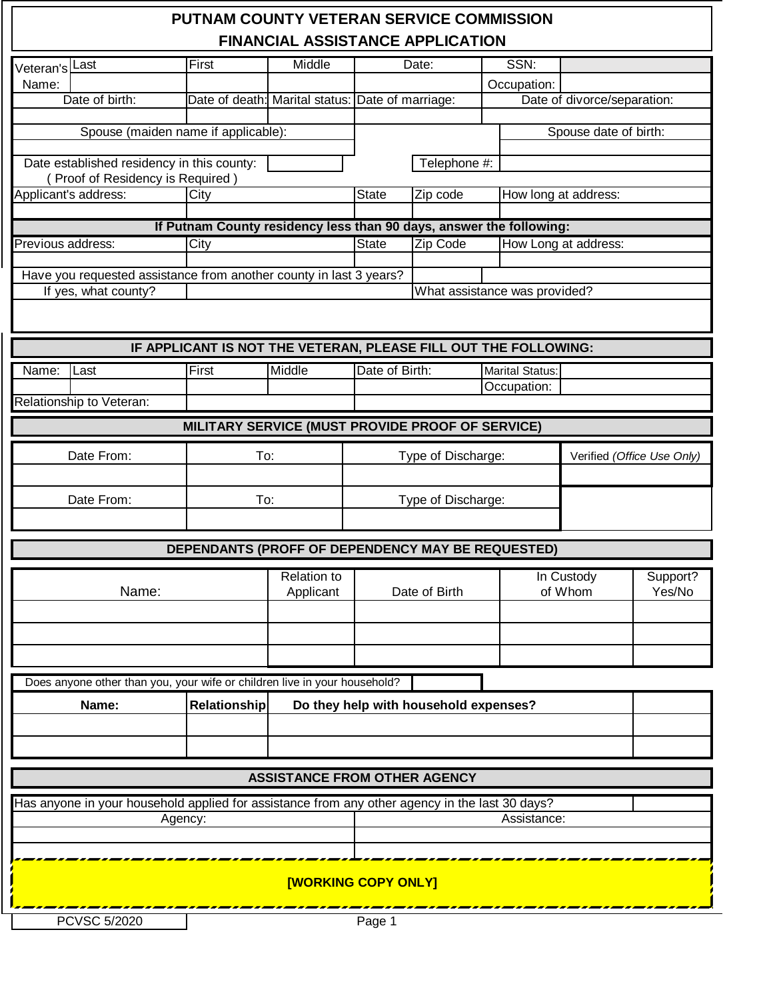|                   |                                                                                                | <b>PUTNAM COUNTY VETERAN SERVICE COMMISSION</b>                     |                                         |                            |                                       |  |                        |                             |                            |
|-------------------|------------------------------------------------------------------------------------------------|---------------------------------------------------------------------|-----------------------------------------|----------------------------|---------------------------------------|--|------------------------|-----------------------------|----------------------------|
|                   |                                                                                                |                                                                     | <b>FINANCIAL ASSISTANCE APPLICATION</b> |                            |                                       |  |                        |                             |                            |
| Veteran's Last    |                                                                                                | First                                                               | Middle                                  | Date:                      |                                       |  | SSN:                   |                             |                            |
| Name:             |                                                                                                |                                                                     |                                         |                            |                                       |  | Occupation:            |                             |                            |
|                   | Date of birth:                                                                                 | Date of death: Marital status: Date of marriage:                    |                                         |                            |                                       |  |                        | Date of divorce/separation: |                            |
|                   | Spouse (maiden name if applicable):                                                            |                                                                     |                                         |                            |                                       |  |                        | Spouse date of birth:       |                            |
|                   | Date established residency in this county:<br>(Proof of Residency is Required)                 |                                                                     |                                         |                            | Telephone #:                          |  |                        |                             |                            |
|                   | Applicant's address:                                                                           | City                                                                |                                         | <b>State</b>               | Zip code                              |  |                        | How long at address:        |                            |
|                   |                                                                                                | If Putnam County residency less than 90 days, answer the following: |                                         |                            |                                       |  |                        |                             |                            |
| Previous address: |                                                                                                | City                                                                |                                         | <b>State</b>               | Zip Code                              |  | How Long at address:   |                             |                            |
|                   |                                                                                                |                                                                     |                                         |                            |                                       |  |                        |                             |                            |
|                   | Have you requested assistance from another county in last 3 years?<br>If yes, what county?     |                                                                     |                                         |                            | What assistance was provided?         |  |                        |                             |                            |
|                   |                                                                                                |                                                                     |                                         |                            |                                       |  |                        |                             |                            |
|                   |                                                                                                |                                                                     |                                         |                            |                                       |  |                        |                             |                            |
|                   |                                                                                                | IF APPLICANT IS NOT THE VETERAN, PLEASE FILL OUT THE FOLLOWING:     |                                         |                            |                                       |  |                        |                             |                            |
| Name:             | Last                                                                                           | First                                                               | Middle                                  | Date of Birth:             |                                       |  | <b>Marital Status:</b> |                             |                            |
|                   | Relationship to Veteran:                                                                       |                                                                     |                                         |                            |                                       |  | Occupation:            |                             |                            |
|                   |                                                                                                |                                                                     |                                         |                            |                                       |  |                        |                             |                            |
|                   |                                                                                                | MILITARY SERVICE (MUST PROVIDE PROOF OF SERVICE)                    |                                         |                            |                                       |  |                        |                             |                            |
| Date From:        |                                                                                                |                                                                     | To:                                     | Type of Discharge:         |                                       |  |                        |                             | Verified (Office Use Only) |
|                   |                                                                                                |                                                                     |                                         |                            |                                       |  |                        |                             |                            |
| Date From:        |                                                                                                | To:                                                                 |                                         | Type of Discharge:         |                                       |  |                        |                             |                            |
|                   |                                                                                                |                                                                     |                                         |                            |                                       |  |                        |                             |                            |
|                   |                                                                                                | DEPENDANTS (PROFF OF DEPENDENCY MAY BE REQUESTED)                   |                                         |                            |                                       |  |                        |                             |                            |
|                   |                                                                                                |                                                                     | <b>Relation to</b>                      |                            |                                       |  |                        | In Custody                  | Support?                   |
|                   | Name:                                                                                          |                                                                     | Applicant                               | Date of Birth              |                                       |  | of Whom                |                             | Yes/No                     |
|                   |                                                                                                |                                                                     |                                         |                            |                                       |  |                        |                             |                            |
|                   |                                                                                                |                                                                     |                                         |                            |                                       |  |                        |                             |                            |
|                   |                                                                                                |                                                                     |                                         |                            |                                       |  |                        |                             |                            |
|                   | Does anyone other than you, your wife or children live in your household?                      |                                                                     |                                         |                            |                                       |  |                        |                             |                            |
|                   | Name:                                                                                          | Relationship                                                        |                                         |                            | Do they help with household expenses? |  |                        |                             |                            |
|                   |                                                                                                |                                                                     |                                         |                            |                                       |  |                        |                             |                            |
|                   |                                                                                                |                                                                     |                                         |                            |                                       |  |                        |                             |                            |
|                   |                                                                                                |                                                                     |                                         |                            |                                       |  |                        |                             |                            |
|                   |                                                                                                |                                                                     | <b>ASSISTANCE FROM OTHER AGENCY</b>     |                            |                                       |  |                        |                             |                            |
|                   | Has anyone in your household applied for assistance from any other agency in the last 30 days? |                                                                     |                                         |                            |                                       |  |                        |                             |                            |
|                   |                                                                                                | Agency:                                                             |                                         |                            |                                       |  | Assistance:            |                             |                            |
|                   |                                                                                                |                                                                     |                                         |                            |                                       |  |                        |                             |                            |
|                   |                                                                                                |                                                                     |                                         | <b>[WORKING COPY ONLY]</b> |                                       |  |                        |                             |                            |
|                   |                                                                                                |                                                                     |                                         |                            |                                       |  |                        |                             |                            |
|                   | <b>PCVSC 5/2020</b>                                                                            |                                                                     |                                         | Page 1                     |                                       |  |                        |                             |                            |